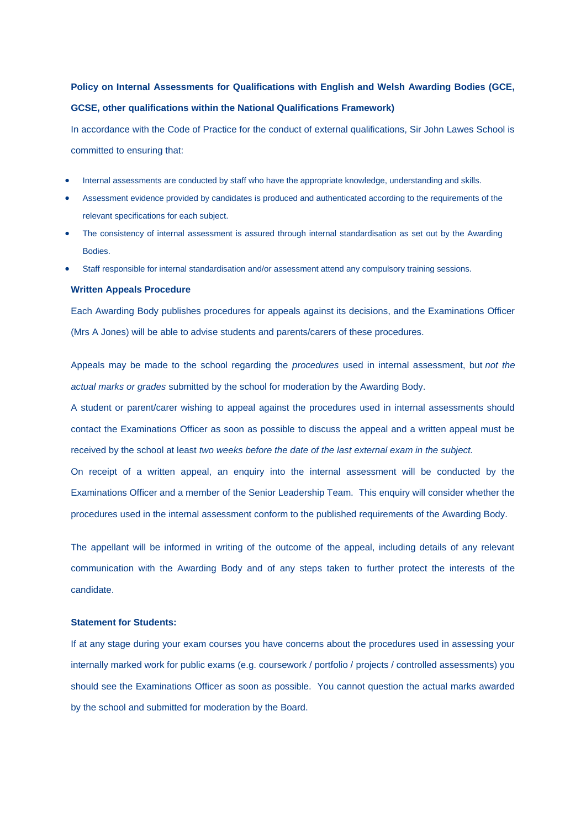## **Policy on Internal Assessments for Qualifications with English and Welsh Awarding Bodies (GCE, GCSE, other qualifications within the National Qualifications Framework)**

In accordance with the Code of Practice for the conduct of external qualifications, Sir John Lawes School is committed to ensuring that:

- Internal assessments are conducted by staff who have the appropriate knowledge, understanding and skills.
- Assessment evidence provided by candidates is produced and authenticated according to the requirements of the relevant specifications for each subject.
- The consistency of internal assessment is assured through internal standardisation as set out by the Awarding Bodies.
- Staff responsible for internal standardisation and/or assessment attend any compulsory training sessions.

## **Written Appeals Procedure**

Each Awarding Body publishes procedures for appeals against its decisions, and the Examinations Officer (Mrs A Jones) will be able to advise students and parents/carers of these procedures.

Appeals may be made to the school regarding the *procedures* used in internal assessment, but *not the actual marks or grades* submitted by the school for moderation by the Awarding Body.

A student or parent/carer wishing to appeal against the procedures used in internal assessments should contact the Examinations Officer as soon as possible to discuss the appeal and a written appeal must be received by the school at least *two weeks before the date of the last external exam in the subject.*

On receipt of a written appeal, an enquiry into the internal assessment will be conducted by the Examinations Officer and a member of the Senior Leadership Team. This enquiry will consider whether the procedures used in the internal assessment conform to the published requirements of the Awarding Body.

The appellant will be informed in writing of the outcome of the appeal, including details of any relevant communication with the Awarding Body and of any steps taken to further protect the interests of the candidate.

## **Statement for Students:**

If at any stage during your exam courses you have concerns about the procedures used in assessing your internally marked work for public exams (e.g. coursework / portfolio / projects / controlled assessments) you should see the Examinations Officer as soon as possible. You cannot question the actual marks awarded by the school and submitted for moderation by the Board.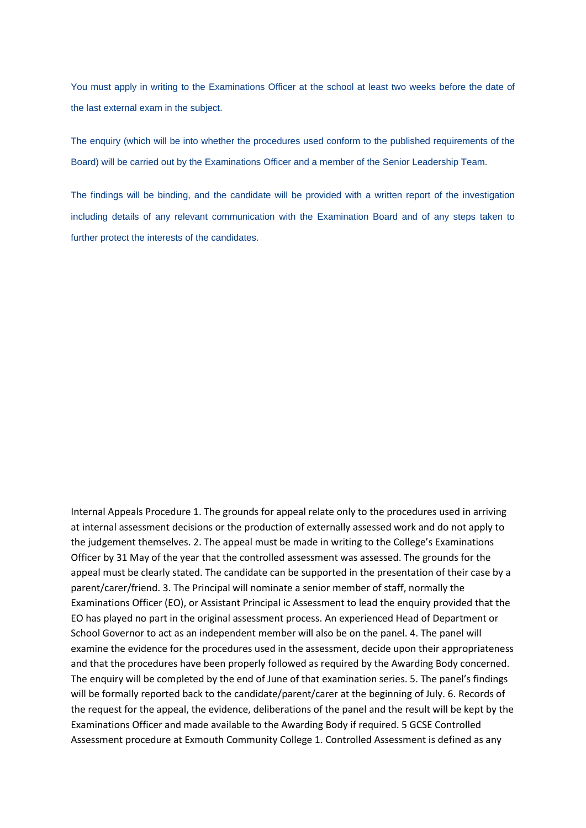You must apply in writing to the Examinations Officer at the school at least two weeks before the date of the last external exam in the subject.

The enquiry (which will be into whether the procedures used conform to the published requirements of the Board) will be carried out by the Examinations Officer and a member of the Senior Leadership Team.

The findings will be binding, and the candidate will be provided with a written report of the investigation including details of any relevant communication with the Examination Board and of any steps taken to further protect the interests of the candidates.

Internal Appeals Procedure 1. The grounds for appeal relate only to the procedures used in arriving at internal assessment decisions or the production of externally assessed work and do not apply to the judgement themselves. 2. The appeal must be made in writing to the College's Examinations Officer by 31 May of the year that the controlled assessment was assessed. The grounds for the appeal must be clearly stated. The candidate can be supported in the presentation of their case by a parent/carer/friend. 3. The Principal will nominate a senior member of staff, normally the Examinations Officer (EO), or Assistant Principal ic Assessment to lead the enquiry provided that the EO has played no part in the original assessment process. An experienced Head of Department or School Governor to act as an independent member will also be on the panel. 4. The panel will examine the evidence for the procedures used in the assessment, decide upon their appropriateness and that the procedures have been properly followed as required by the Awarding Body concerned. The enquiry will be completed by the end of June of that examination series. 5. The panel's findings will be formally reported back to the candidate/parent/carer at the beginning of July. 6. Records of the request for the appeal, the evidence, deliberations of the panel and the result will be kept by the Examinations Officer and made available to the Awarding Body if required. 5 GCSE Controlled Assessment procedure at Exmouth Community College 1. Controlled Assessment is defined as any